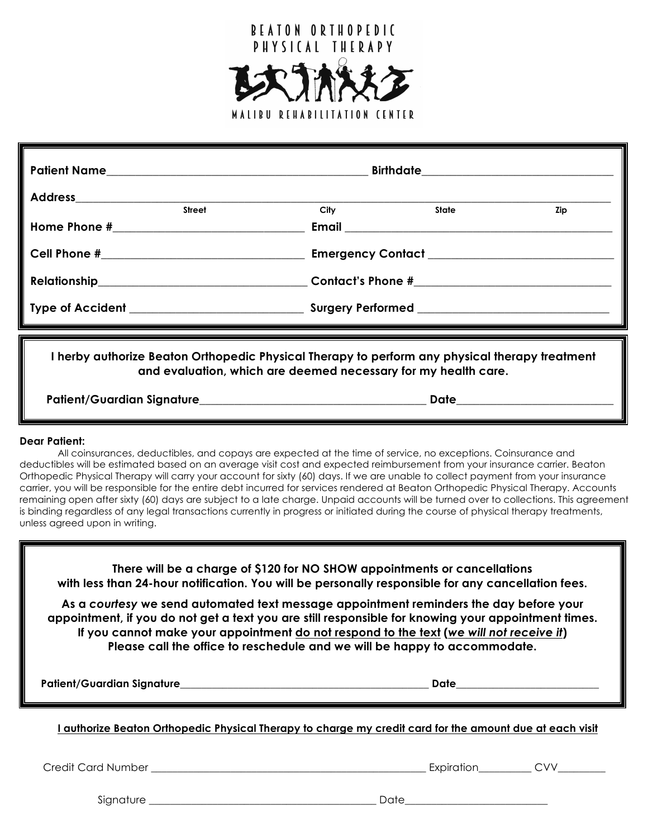

| Patient Name   |      | Birthdate_________________________________ |     |  |  |  |
|----------------|------|--------------------------------------------|-----|--|--|--|
| <b>Address</b> |      |                                            |     |  |  |  |
| <b>Street</b>  | City | State                                      | Zip |  |  |  |
|                |      |                                            |     |  |  |  |
|                |      |                                            |     |  |  |  |
|                |      |                                            |     |  |  |  |
|                |      |                                            |     |  |  |  |

**I herby authorize Beaton Orthopedic Physical Therapy to perform any physical therapy treatment and evaluation, which are deemed necessary for my health care.**

**Patient/Guardian Signature\_\_\_\_\_\_\_\_\_\_\_\_\_\_\_\_\_\_\_\_\_\_\_\_\_\_\_\_\_\_\_\_\_\_\_\_\_\_\_ Date\_\_\_\_\_\_\_\_\_\_\_\_\_\_\_\_\_\_\_\_\_\_\_\_\_\_\_**

# **Dear Patient:**

All coinsurances, deductibles, and copays are expected at the time of service, no exceptions. Coinsurance and deductibles will be estimated based on an average visit cost and expected reimbursement from your insurance carrier. Beaton Orthopedic Physical Therapy will carry your account for sixty (60) days. If we are unable to collect payment from your insurance carrier, you will be responsible for the entire debt incurred for services rendered at Beaton Orthopedic Physical Therapy. Accounts remaining open after sixty (60) days are subject to a late charge. Unpaid accounts will be turned over to collections. This agreement is binding regardless of any legal transactions currently in progress or initiated during the course of physical therapy treatments, unless agreed upon in writing.

| There will be a charge of \$120 for NO SHOW appointments or cancellations<br>with less than 24-hour notification. You will be personally responsible for any cancellation fees.                                                                                                                                                                                       |                       |  |  |  |  |  |  |  |
|-----------------------------------------------------------------------------------------------------------------------------------------------------------------------------------------------------------------------------------------------------------------------------------------------------------------------------------------------------------------------|-----------------------|--|--|--|--|--|--|--|
| As a courtesy we send automated text message appointment reminders the day before your<br>appointment, if you do not get a text you are still responsible for knowing your appointment times.<br>If you cannot make your appointment do not respond to the text (we will not receive it)<br>Please call the office to reschedule and we will be happy to accommodate. |                       |  |  |  |  |  |  |  |
|                                                                                                                                                                                                                                                                                                                                                                       |                       |  |  |  |  |  |  |  |
|                                                                                                                                                                                                                                                                                                                                                                       | Date ________________ |  |  |  |  |  |  |  |
| l authorize Beaton Orthopedic Physical Therapy to charge my credit card for the amount due at each visit                                                                                                                                                                                                                                                              |                       |  |  |  |  |  |  |  |

Signature \_\_\_\_\_\_\_\_\_\_\_\_\_\_\_\_\_\_\_\_\_\_\_\_\_\_\_\_\_\_\_\_\_\_\_\_\_\_\_\_\_\_\_ Date\_\_\_\_\_\_\_\_\_\_\_\_\_\_\_\_\_\_\_\_\_\_\_\_\_\_\_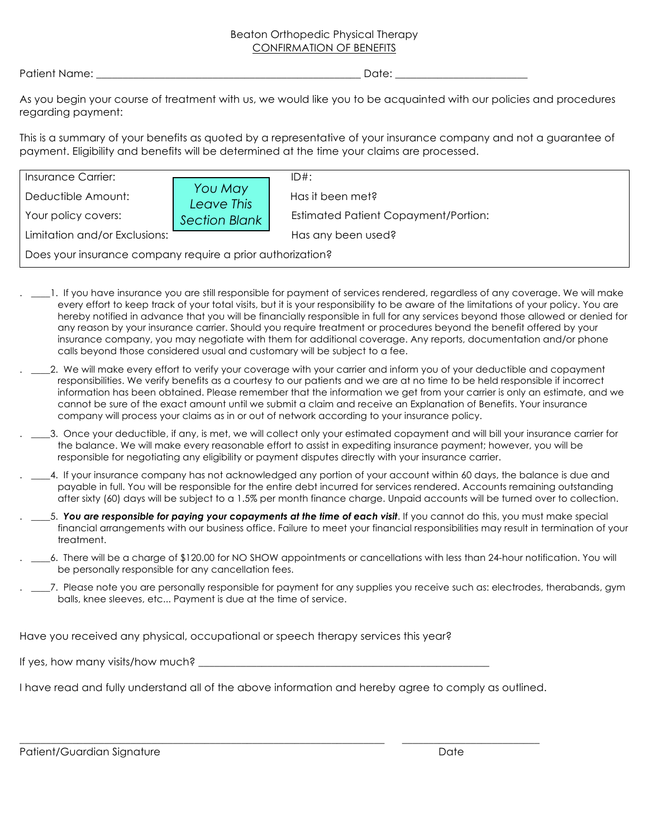# Beaton Orthopedic Physical Therapy CONFIRMATION OF BENEFITS

Patient Name: \_\_\_\_\_\_\_\_\_\_\_\_\_\_\_\_\_\_\_\_\_\_\_\_\_\_\_\_\_\_\_\_\_\_\_\_\_\_\_\_\_\_\_\_\_\_\_\_\_\_ Date: \_\_\_\_\_\_\_\_\_\_\_\_\_\_\_\_\_\_\_\_\_\_\_\_\_

As you begin your course of treatment with us, we would like you to be acquainted with our policies and procedures regarding payment:

This is a summary of your benefits as quoted by a representative of your insurance company and not a guarantee of payment. Eligibility and benefits will be determined at the time your claims are processed.

| <b>Insurance Carrier:</b>                                  |                       | $ID#$ :                                     |  |  |  |
|------------------------------------------------------------|-----------------------|---------------------------------------------|--|--|--|
| Deductible Amount:                                         | You May<br>Leave This | Has it been met?                            |  |  |  |
| Your policy covers:                                        | <b>Section Blank</b>  | <b>Estimated Patient Copayment/Portion:</b> |  |  |  |
| Limitation and/or Exclusions:                              |                       | Has any been used?                          |  |  |  |
| Does your insurance company require a prior authorization? |                       |                                             |  |  |  |

- 1. If you have insurance you are still responsible for payment of services rendered, regardless of any coverage. We will make every effort to keep track of your total visits, but it is your responsibility to be aware of the limitations of your policy. You are hereby notified in advance that you will be financially responsible in full for any services beyond those allowed or denied for any reason by your insurance carrier. Should you require treatment or procedures beyond the benefit offered by your insurance company, you may negotiate with them for additional coverage. Any reports, documentation and/or phone calls beyond those considered usual and customary will be subject to a fee.
- . \_\_\_\_2. We will make every effort to verify your coverage with your carrier and inform you of your deductible and copayment responsibilities. We verify benefits as a courtesy to our patients and we are at no time to be held responsible if incorrect information has been obtained. Please remember that the information we get from your carrier is only an estimate, and we cannot be sure of the exact amount until we submit a claim and receive an Explanation of Benefits. Your insurance company will process your claims as in or out of network according to your insurance policy.
- . \_\_\_\_3. Once your deductible, if any, is met, we will collect only your estimated copayment and will bill your insurance carrier for the balance. We will make every reasonable effort to assist in expediting insurance payment; however, you will be responsible for negotiating any eligibility or payment disputes directly with your insurance carrier.
- . \_\_\_\_4. If your insurance company has not acknowledged any portion of your account within 60 days, the balance is due and payable in full. You will be responsible for the entire debt incurred for services rendered. Accounts remaining outstanding after sixty (60) days will be subject to a 1.5% per month finance charge. Unpaid accounts will be turned over to collection.
- . \_\_\_\_5. *You are responsible for paying your copayments at the time of each visit*. If you cannot do this, you must make special financial arrangements with our business office. Failure to meet your financial responsibilities may result in termination of your treatment.
- . \_\_\_6. There will be a charge of \$120.00 for NO SHOW appointments or cancellations with less than 24-hour notification. You will be personally responsible for any cancellation fees.
- . \_\_\_\_7. Please note you are personally responsible for payment for any supplies you receive such as: electrodes, therabands, gym balls, knee sleeves, etc... Payment is due at the time of service.

Have you received any physical, occupational or speech therapy services this year?

If yes, how many visits/how much?  $\overline{\phantom{a}}$ 

I have read and fully understand all of the above information and hereby agree to comply as outlined.

\_\_\_\_\_\_\_\_\_\_\_\_\_\_\_\_\_\_\_\_\_\_\_\_\_\_\_\_\_\_\_\_\_\_\_\_\_\_\_\_\_\_\_\_\_\_\_\_\_\_\_\_\_\_\_\_\_\_\_\_\_\_\_\_\_\_\_\_\_ \_\_\_\_\_\_\_\_\_\_\_\_\_\_\_\_\_\_\_\_\_\_\_\_\_\_

Patient/Guardian Signature **Date of Australian Structure** Date **Date**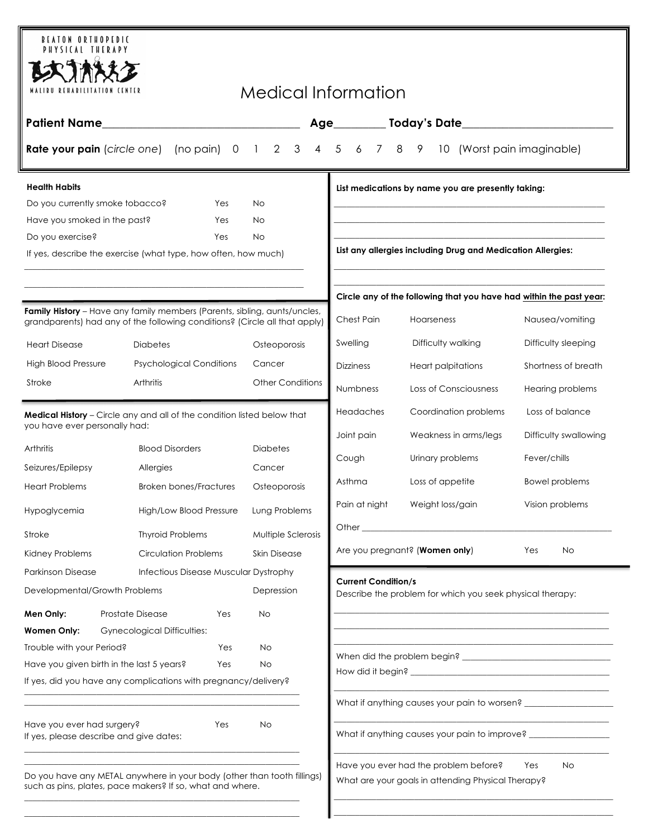| <b>BEATON ORTHOPEDIC</b><br>PHYSICAL THERAPY                                                                                                                                                                                                     |                                                                                                                                                                |                 |                         |                                                                     |                                             |                                                                                  |                                                           |                                                                                           |
|--------------------------------------------------------------------------------------------------------------------------------------------------------------------------------------------------------------------------------------------------|----------------------------------------------------------------------------------------------------------------------------------------------------------------|-----------------|-------------------------|---------------------------------------------------------------------|---------------------------------------------|----------------------------------------------------------------------------------|-----------------------------------------------------------|-------------------------------------------------------------------------------------------|
|                                                                                                                                                                                                                                                  |                                                                                                                                                                |                 |                         |                                                                     |                                             |                                                                                  |                                                           |                                                                                           |
| Medical Information<br>MALIBU REHABILITATION CENTER                                                                                                                                                                                              |                                                                                                                                                                |                 |                         |                                                                     |                                             |                                                                                  |                                                           |                                                                                           |
| <b>Patient Name</b>                                                                                                                                                                                                                              |                                                                                                                                                                |                 |                         |                                                                     |                                             |                                                                                  |                                                           |                                                                                           |
| $4\quad 5$<br>6 7 8<br><b>Rate your pain</b> (circle one) (no pain) 0 1 2 3<br>$\overline{9}$<br>(Worst pain imaginable)<br>10                                                                                                                   |                                                                                                                                                                |                 |                         |                                                                     |                                             |                                                                                  |                                                           |                                                                                           |
| <b>Health Habits</b><br>List medications by name you are presently taking:                                                                                                                                                                       |                                                                                                                                                                |                 |                         |                                                                     |                                             |                                                                                  |                                                           |                                                                                           |
| Do you currently smoke tobacco?                                                                                                                                                                                                                  |                                                                                                                                                                | Yes<br>No.      |                         |                                                                     |                                             |                                                                                  |                                                           |                                                                                           |
| Have you smoked in the past?                                                                                                                                                                                                                     |                                                                                                                                                                | No<br>Yes       |                         |                                                                     |                                             |                                                                                  |                                                           |                                                                                           |
| Do you exercise?                                                                                                                                                                                                                                 |                                                                                                                                                                | Yes<br>No.      |                         |                                                                     |                                             | List any allergies including Drug and Medication Allergies:                      |                                                           |                                                                                           |
| If yes, describe the exercise (what type, how often, how much)                                                                                                                                                                                   |                                                                                                                                                                |                 |                         |                                                                     |                                             |                                                                                  |                                                           |                                                                                           |
|                                                                                                                                                                                                                                                  |                                                                                                                                                                |                 |                         | Circle any of the following that you have had within the past year: |                                             |                                                                                  |                                                           |                                                                                           |
|                                                                                                                                                                                                                                                  | <b>Family History</b> – Have any family members (Parents, sibling, aunts/uncles,<br>grandparents) had any of the following conditions? (Circle all that apply) |                 |                         |                                                                     | Chest Pain                                  |                                                                                  | Hoarseness                                                | Nausea/vomiting                                                                           |
| <b>Heart Disease</b>                                                                                                                                                                                                                             | <b>Diabetes</b>                                                                                                                                                |                 | Osteoporosis            |                                                                     | Swelling                                    |                                                                                  | Difficulty walking                                        | Difficulty sleeping                                                                       |
| <b>High Blood Pressure</b>                                                                                                                                                                                                                       | <b>Psychological Conditions</b>                                                                                                                                | Cancer          |                         |                                                                     | <b>Dizziness</b>                            |                                                                                  | <b>Heart palpitations</b>                                 | Shortness of breath                                                                       |
| Stroke                                                                                                                                                                                                                                           | Arthritis                                                                                                                                                      |                 | <b>Other Conditions</b> |                                                                     | Numbness                                    |                                                                                  | Loss of Consciousness                                     | Hearing problems                                                                          |
| Medical History - Circle any and all of the condition listed below that                                                                                                                                                                          |                                                                                                                                                                |                 | Headaches               |                                                                     | Coordination problems                       | Loss of balance                                                                  |                                                           |                                                                                           |
| you have ever personally had:                                                                                                                                                                                                                    |                                                                                                                                                                |                 |                         |                                                                     | Joint pain                                  |                                                                                  | Weakness in arms/legs                                     | Difficulty swallowing                                                                     |
| <b>Arthritis</b>                                                                                                                                                                                                                                 | <b>Blood Disorders</b>                                                                                                                                         | <b>Diabetes</b> |                         |                                                                     | Cough                                       |                                                                                  | Urinary problems                                          | Fever/chills                                                                              |
| Seizures/Epilepsy                                                                                                                                                                                                                                | Allergies                                                                                                                                                      | Cancer          |                         |                                                                     | Asthma                                      |                                                                                  | Loss of appetite                                          | Bowel problems                                                                            |
|                                                                                                                                                                                                                                                  | <b>Heart Problems</b><br><b>Broken bones/Fractures</b>                                                                                                         |                 | Osteoporosis            |                                                                     |                                             |                                                                                  |                                                           |                                                                                           |
| Hypoglycemia                                                                                                                                                                                                                                     | High/Low Blood Pressure                                                                                                                                        |                 | Lung Problems           |                                                                     | Pain at night<br>Weight loss/gain           |                                                                                  | Vision problems                                           |                                                                                           |
| Stroke                                                                                                                                                                                                                                           | <b>Thyroid Problems</b>                                                                                                                                        |                 | Multiple Sclerosis      |                                                                     |                                             |                                                                                  |                                                           |                                                                                           |
| Kidney Problems                                                                                                                                                                                                                                  | <b>Circulation Problems</b>                                                                                                                                    |                 | <b>Skin Disease</b>     |                                                                     | Are you pregnant? (Women only)<br>Yes<br>No |                                                                                  |                                                           |                                                                                           |
| <b>Parkinson Disease</b>                                                                                                                                                                                                                         | Infectious Disease Muscular Dystrophy                                                                                                                          |                 |                         |                                                                     | <b>Current Condition/s</b>                  |                                                                                  |                                                           |                                                                                           |
| Developmental/Growth Problems                                                                                                                                                                                                                    |                                                                                                                                                                |                 | Depression              |                                                                     |                                             |                                                                                  | Describe the problem for which you seek physical therapy: |                                                                                           |
| Men Only:                                                                                                                                                                                                                                        | <b>Prostate Disease</b>                                                                                                                                        | Yes<br>No       |                         |                                                                     |                                             |                                                                                  |                                                           |                                                                                           |
| <b>Women Only:</b>                                                                                                                                                                                                                               | <b>Gynecological Difficulties:</b>                                                                                                                             |                 |                         |                                                                     |                                             |                                                                                  |                                                           | the control of the control of the control of the control of the control of the control of |
| Trouble with your Period?<br>Yes                                                                                                                                                                                                                 |                                                                                                                                                                | No              |                         |                                                                     |                                             |                                                                                  |                                                           |                                                                                           |
| Have you given birth in the last 5 years?<br>No<br>Yes                                                                                                                                                                                           |                                                                                                                                                                |                 |                         |                                                                     |                                             |                                                                                  |                                                           |                                                                                           |
|                                                                                                                                                                                                                                                  | If yes, did you have any complications with pregnancy/delivery?                                                                                                |                 |                         |                                                                     |                                             |                                                                                  |                                                           |                                                                                           |
|                                                                                                                                                                                                                                                  | What if anything causes your pain to worsen? ___________________________________                                                                               |                 |                         |                                                                     |                                             |                                                                                  |                                                           |                                                                                           |
| Have you ever had surgery?<br>No<br>Yes<br>If yes, please describe and give dates:                                                                                                                                                               |                                                                                                                                                                |                 |                         |                                                                     |                                             | What if anything causes your pain to improve? __________________________________ |                                                           |                                                                                           |
| Have you ever had the problem before?<br>Yes<br>No<br>Do you have any METAL anywhere in your body (other than tooth fillings)<br>What are your goals in attending Physical Therapy?<br>such as pins, plates, pace makers? If so, what and where. |                                                                                                                                                                |                 |                         |                                                                     |                                             |                                                                                  |                                                           |                                                                                           |

 $\mathcal{L}_\mathcal{L} = \mathcal{L}_\mathcal{L} = \mathcal{L}_\mathcal{L} = \mathcal{L}_\mathcal{L} = \mathcal{L}_\mathcal{L} = \mathcal{L}_\mathcal{L} = \mathcal{L}_\mathcal{L} = \mathcal{L}_\mathcal{L} = \mathcal{L}_\mathcal{L} = \mathcal{L}_\mathcal{L} = \mathcal{L}_\mathcal{L} = \mathcal{L}_\mathcal{L} = \mathcal{L}_\mathcal{L} = \mathcal{L}_\mathcal{L} = \mathcal{L}_\mathcal{L} = \mathcal{L}_\mathcal{L} = \mathcal{L}_\mathcal{L}$ 

 $\_$  , and the set of the set of the set of the set of the set of the set of the set of the set of the set of the set of the set of the set of the set of the set of the set of the set of the set of the set of the set of th